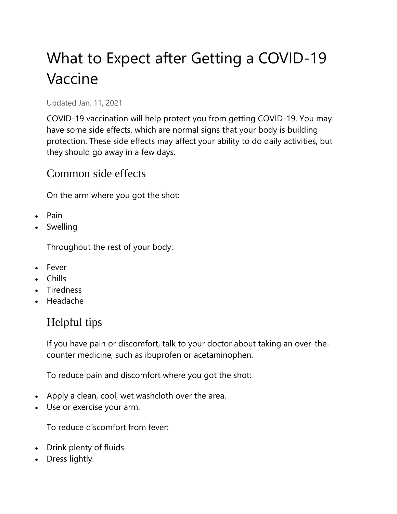# What to Expect after Getting a COVID-19 Vaccine

Updated Jan. 11, 2021

COVID-19 vaccination will help protect you from getting COVID-19. You may have some side effects, which are normal signs that your body is building protection. These side effects may affect your ability to do daily activities, but they should go away in a few days.

#### Common side effects

On the arm where you got the shot:

- Pain
- Swelling

Throughout the rest of your body:

- Fever
- Chills
- Tiredness
- Headache

# Helpful tips

If you have pain or discomfort, talk to your doctor about taking an over-thecounter medicine, such as ibuprofen or acetaminophen.

To reduce pain and discomfort where you got the shot:

- Apply a clean, cool, wet washcloth over the area.
- Use or exercise your arm.

To reduce discomfort from fever:

- Drink plenty of fluids.
- Dress lightly.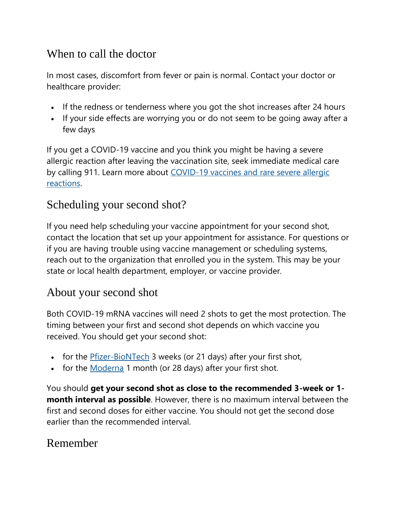## When to call the doctor

In most cases, discomfort from fever or pain is normal. Contact your doctor or healthcare provider:

- If the redness or tenderness where you got the shot increases after 24 hours
- If your side effects are worrying you or do not seem to be going away after a few days

If you get a COVID-19 vaccine and you think you might be having a severe allergic reaction after leaving the vaccination site, seek immediate medical care by calling 911. Learn more about COVID-19 vaccines and rare severe allergic [reactions.](https://www.cdc.gov/coronavirus/2019-ncov/vaccines/safety/allergic-reaction.html)

### Scheduling your second shot?

If you need help scheduling your vaccine appointment for your second shot, contact the location that set up your appointment for assistance. For questions or if you are having trouble using vaccine management or scheduling systems, reach out to the organization that enrolled you in the system. This may be your state or local health department, employer, or vaccine provider.

#### About your second shot

Both COVID-19 mRNA vaccines will need 2 shots to get the most protection. The timing between your first and second shot depends on which vaccine you received. You should get your second shot:

- for the [Pfizer-BioNTech](https://www.cdc.gov/coronavirus/2019-ncov/vaccines/different-vaccines/Pfizer-BioNTech.html) 3 weeks (or 21 days) after your first shot,
- for the [Moderna](https://www.cdc.gov/coronavirus/2019-ncov/vaccines/different-vaccines/Moderna.html) 1 month (or 28 days) after your first shot.

You should **get your second shot as close to the recommended 3-week or 1 month interval as possible**. However, there is no maximum interval between the first and second doses for either vaccine. You should not get the second dose earlier than the recommended interval.

## Remember